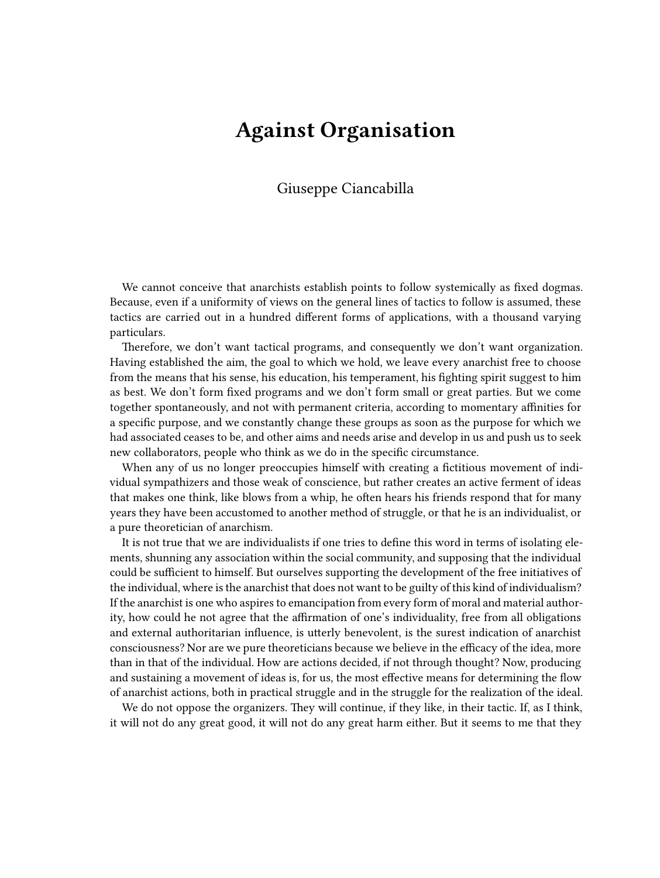## **Against Organisation**

## Giuseppe Ciancabilla

We cannot conceive that anarchists establish points to follow systemically as fixed dogmas. Because, even if a uniformity of views on the general lines of tactics to follow is assumed, these tactics are carried out in a hundred different forms of applications, with a thousand varying particulars.

Therefore, we don't want tactical programs, and consequently we don't want organization. Having established the aim, the goal to which we hold, we leave every anarchist free to choose from the means that his sense, his education, his temperament, his fighting spirit suggest to him as best. We don't form fixed programs and we don't form small or great parties. But we come together spontaneously, and not with permanent criteria, according to momentary affinities for a specific purpose, and we constantly change these groups as soon as the purpose for which we had associated ceases to be, and other aims and needs arise and develop in us and push us to seek new collaborators, people who think as we do in the specific circumstance.

When any of us no longer preoccupies himself with creating a fictitious movement of individual sympathizers and those weak of conscience, but rather creates an active ferment of ideas that makes one think, like blows from a whip, he often hears his friends respond that for many years they have been accustomed to another method of struggle, or that he is an individualist, or a pure theoretician of anarchism.

It is not true that we are individualists if one tries to define this word in terms of isolating elements, shunning any association within the social community, and supposing that the individual could be sufficient to himself. But ourselves supporting the development of the free initiatives of the individual, where is the anarchist that does not want to be guilty of this kind of individualism? If the anarchist is one who aspires to emancipation from every form of moral and material authority, how could he not agree that the affirmation of one's individuality, free from all obligations and external authoritarian influence, is utterly benevolent, is the surest indication of anarchist consciousness? Nor are we pure theoreticians because we believe in the efficacy of the idea, more than in that of the individual. How are actions decided, if not through thought? Now, producing and sustaining a movement of ideas is, for us, the most effective means for determining the flow of anarchist actions, both in practical struggle and in the struggle for the realization of the ideal.

We do not oppose the organizers. They will continue, if they like, in their tactic. If, as I think, it will not do any great good, it will not do any great harm either. But it seems to me that they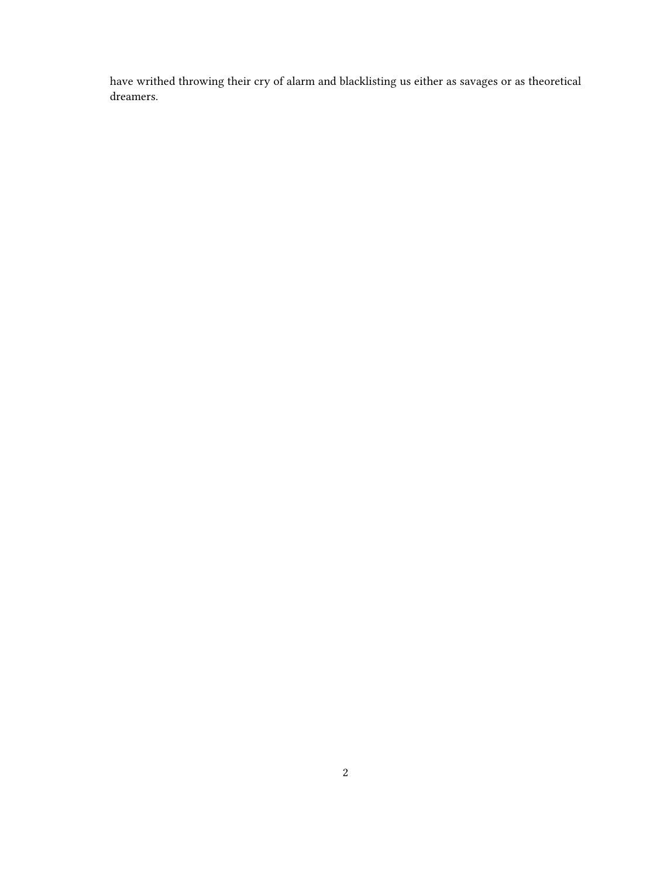have writhed throwing their cry of alarm and blacklisting us either as savages or as theoretical dreamers.